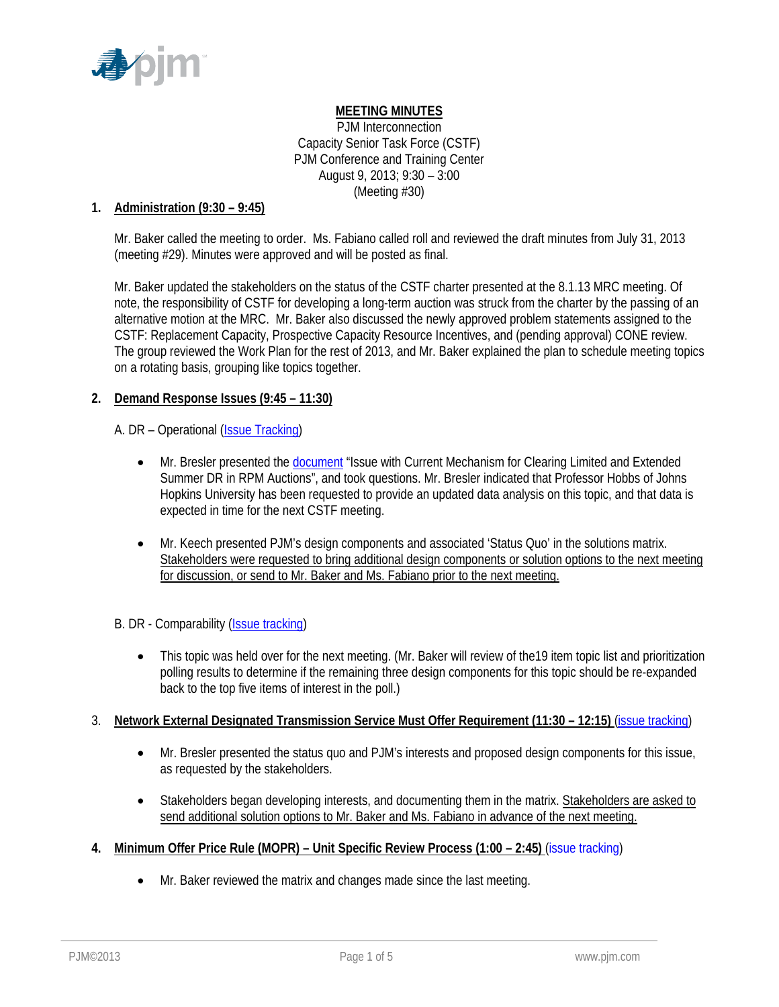

## **MEETING MINUTES**

PJM Interconnection Capacity Senior Task Force (CSTF) PJM Conference and Training Center August 9, 2013; 9:30 – 3:00 (Meeting #30)

### **1. Administration (9:30 – 9:45)**

Mr. Baker called the meeting to order. Ms. Fabiano called roll and reviewed the draft minutes from July 31, 2013 (meeting #29). Minutes were approved and will be posted as final.

Mr. Baker updated the stakeholders on the status of the CSTF charter presented at the 8.1.13 MRC meeting. Of note, the responsibility of CSTF for developing a long-term auction was struck from the charter by the passing of an alternative motion at the MRC. Mr. Baker also discussed the newly approved problem statements assigned to the CSTF: Replacement Capacity, Prospective Capacity Resource Incentives, and (pending approval) CONE review. The group reviewed the Work Plan for the rest of 2013, and Mr. Baker explained the plan to schedule meeting topics on a rotating basis, grouping like topics together.

### **2. Demand Response Issues (9:45 – 11:30)**

### A. DR – Operational (Issue Tracking)

- Mr. Bresler presented the document "Issue with Current Mechanism for Clearing Limited and Extended Summer DR in RPM Auctions", and took questions. Mr. Bresler indicated that Professor Hobbs of Johns Hopkins University has been requested to provide an updated data analysis on this topic, and that data is expected in time for the next CSTF meeting.
- Mr. Keech presented PJM's design components and associated 'Status Quo' in the solutions matrix. Stakeholders were requested to bring additional design components or solution options to the next meeting for discussion, or send to Mr. Baker and Ms. Fabiano prior to the next meeting.

## B. DR - Comparability (Issue tracking)

• This topic was held over for the next meeting. (Mr. Baker will review of the19 item topic list and prioritization polling results to determine if the remaining three design components for this topic should be re-expanded back to the top five items of interest in the poll.)

## 3. **Network External Designated Transmission Service Must Offer Requirement (11:30 – 12:15)** (issue tracking)

- Mr. Bresler presented the status quo and PJM's interests and proposed design components for this issue, as requested by the stakeholders.
- Stakeholders began developing interests, and documenting them in the matrix. Stakeholders are asked to send additional solution options to Mr. Baker and Ms. Fabiano in advance of the next meeting.
- **4. Minimum Offer Price Rule (MOPR) Unit Specific Review Process (1:00 2:45)** (issue tracking)
	- Mr. Baker reviewed the matrix and changes made since the last meeting.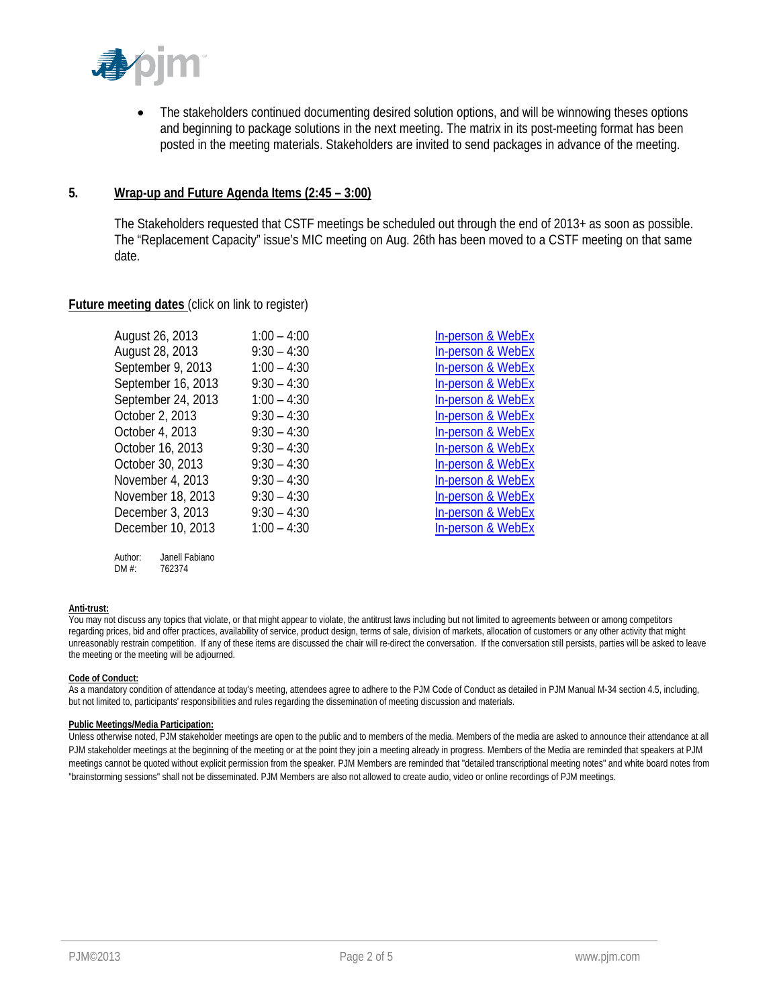

• The stakeholders continued documenting desired solution options, and will be winnowing theses options and beginning to package solutions in the next meeting. The matrix in its post-meeting format has been posted in the meeting materials. Stakeholders are invited to send packages in advance of the meeting.

### **5. Wrap-up and Future Agenda Items (2:45 – 3:00)**

 The Stakeholders requested that CSTF meetings be scheduled out through the end of 2013+ as soon as possible. The "Replacement Capacity" issue's MIC meeting on Aug. 26th has been moved to a CSTF meeting on that same date.

### **Future meeting dates** (click on link to register)

| August 26, 2013    | $1:00 - 4:00$ | <b>In-person &amp; WebEx</b> |
|--------------------|---------------|------------------------------|
| August 28, 2013    | $9:30 - 4:30$ | <b>In-person &amp; WebEx</b> |
| September 9, 2013  | $1:00 - 4:30$ | In-person & WebEx            |
| September 16, 2013 | $9:30 - 4:30$ | In-person & WebEx            |
| September 24, 2013 | $1:00 - 4:30$ | In-person & WebEx            |
| October 2, 2013    | $9:30 - 4:30$ | In-person & WebEx            |
| October 4, 2013    | $9:30 - 4:30$ | In-person & WebEx            |
| October 16, 2013   | $9:30 - 4:30$ | In-person & WebEx            |
| October 30, 2013   | $9:30 - 4:30$ | In-person & WebEx            |
| November 4, 2013   | $9:30 - 4:30$ | In-person & WebEx            |
| November 18, 2013  | $9:30 - 4:30$ | <b>In-person &amp; WebEx</b> |
| December 3, 2013   | $9:30 - 4:30$ | In-person & WebEx            |
| December 10, 2013  | $1:00 - 4:30$ | In-person & WebEx            |
|                    |               |                              |

#### **Anti-trust:**

You may not discuss any topics that violate, or that might appear to violate, the antitrust laws including but not limited to agreements between or among competitors regarding prices, bid and offer practices, availability of service, product design, terms of sale, division of markets, allocation of customers or any other activity that might unreasonably restrain competition. If any of these items are discussed the chair will re-direct the conversation. If the conversation still persists, parties will be asked to leave the meeting or the meeting will be adjourned.

#### **Code of Conduct:**

As a mandatory condition of attendance at today's meeting, attendees agree to adhere to the PJM Code of Conduct as detailed in PJM Manual M-34 section 4.5, including, but not limited to, participants' responsibilities and rules regarding the dissemination of meeting discussion and materials.

#### **Public Meetings/Media Participation:**

Author: Janell Fabiano DM #: 762374

Unless otherwise noted, PJM stakeholder meetings are open to the public and to members of the media. Members of the media are asked to announce their attendance at all PJM stakeholder meetings at the beginning of the meeting or at the point they join a meeting already in progress. Members of the Media are reminded that speakers at PJM meetings cannot be quoted without explicit permission from the speaker. PJM Members are reminded that "detailed transcriptional meeting notes" and white board notes from "brainstorming sessions" shall not be disseminated. PJM Members are also not allowed to create audio, video or online recordings of PJM meetings.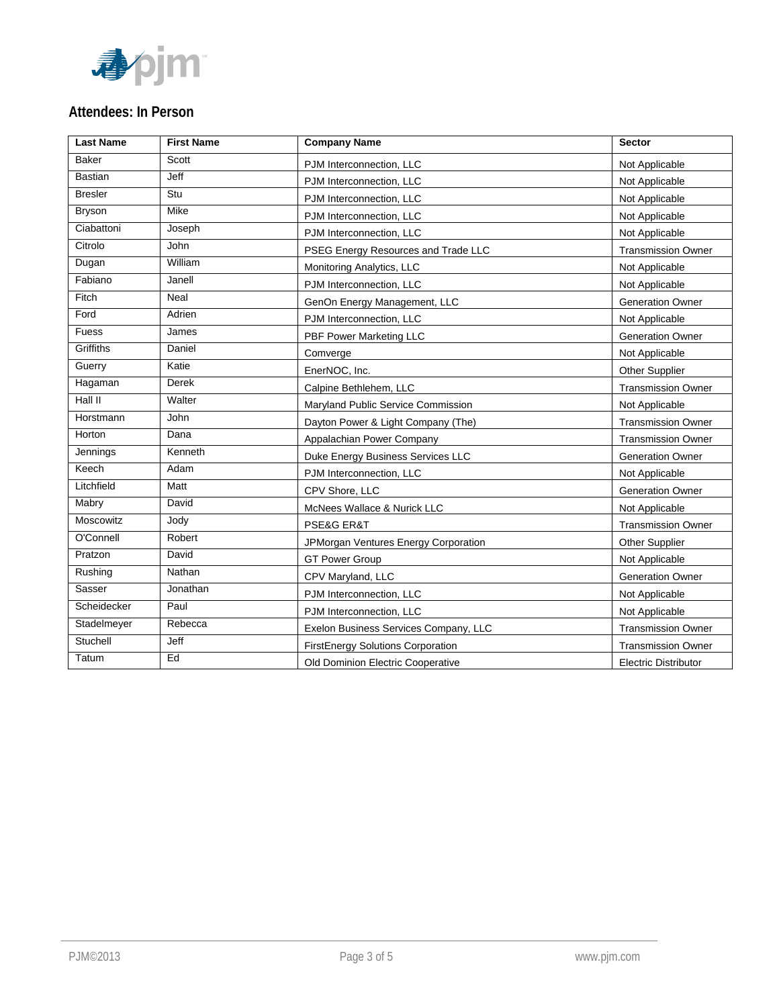

## **Attendees: In Person**

| <b>Last Name</b> | <b>First Name</b> | <b>Company Name</b>                      | Sector                      |
|------------------|-------------------|------------------------------------------|-----------------------------|
| <b>Baker</b>     | Scott             | PJM Interconnection, LLC                 | Not Applicable              |
| <b>Bastian</b>   | Jeff              | PJM Interconnection, LLC                 | Not Applicable              |
| <b>Bresler</b>   | Stu               | PJM Interconnection, LLC                 | Not Applicable              |
| <b>Bryson</b>    | Mike              | PJM Interconnection, LLC                 | Not Applicable              |
| Ciabattoni       | Joseph            | PJM Interconnection, LLC                 | Not Applicable              |
| Citrolo          | John              | PSEG Energy Resources and Trade LLC      | <b>Transmission Owner</b>   |
| Dugan            | William           | Monitoring Analytics, LLC                | Not Applicable              |
| Fabiano          | Janell            | PJM Interconnection, LLC                 | Not Applicable              |
| Fitch            | Neal              | GenOn Energy Management, LLC             | <b>Generation Owner</b>     |
| Ford             | Adrien            | PJM Interconnection, LLC                 | Not Applicable              |
| Fuess            | James             | PBF Power Marketing LLC                  | <b>Generation Owner</b>     |
| Griffiths        | Daniel            | Comverge                                 | Not Applicable              |
| Guerry           | Katie             | EnerNOC, Inc.                            | <b>Other Supplier</b>       |
| Hagaman          | <b>Derek</b>      | Calpine Bethlehem. LLC                   | <b>Transmission Owner</b>   |
| Hall II          | Walter            | Maryland Public Service Commission       | Not Applicable              |
| Horstmann        | John              | Dayton Power & Light Company (The)       | <b>Transmission Owner</b>   |
| Horton           | Dana              | Appalachian Power Company                | <b>Transmission Owner</b>   |
| Jennings         | Kenneth           | Duke Energy Business Services LLC        | <b>Generation Owner</b>     |
| Keech            | Adam              | PJM Interconnection, LLC                 | Not Applicable              |
| Litchfield       | Matt              | CPV Shore, LLC                           | <b>Generation Owner</b>     |
| Mabry            | David             | McNees Wallace & Nurick LLC              | Not Applicable              |
| Moscowitz        | Jody              | PSE&G ER&T                               | <b>Transmission Owner</b>   |
| O'Connell        | Robert            | JPMorgan Ventures Energy Corporation     | Other Supplier              |
| Pratzon          | David             | <b>GT Power Group</b>                    | Not Applicable              |
| Rushing          | Nathan            | CPV Maryland, LLC                        | <b>Generation Owner</b>     |
| Sasser           | Jonathan          | PJM Interconnection, LLC                 | Not Applicable              |
| Scheidecker      | Paul              | PJM Interconnection, LLC                 | Not Applicable              |
| Stadelmeyer      | Rebecca           | Exelon Business Services Company, LLC    | <b>Transmission Owner</b>   |
| Stuchell         | Jeff              | <b>FirstEnergy Solutions Corporation</b> | <b>Transmission Owner</b>   |
| Tatum            | Ed                | Old Dominion Electric Cooperative        | <b>Electric Distributor</b> |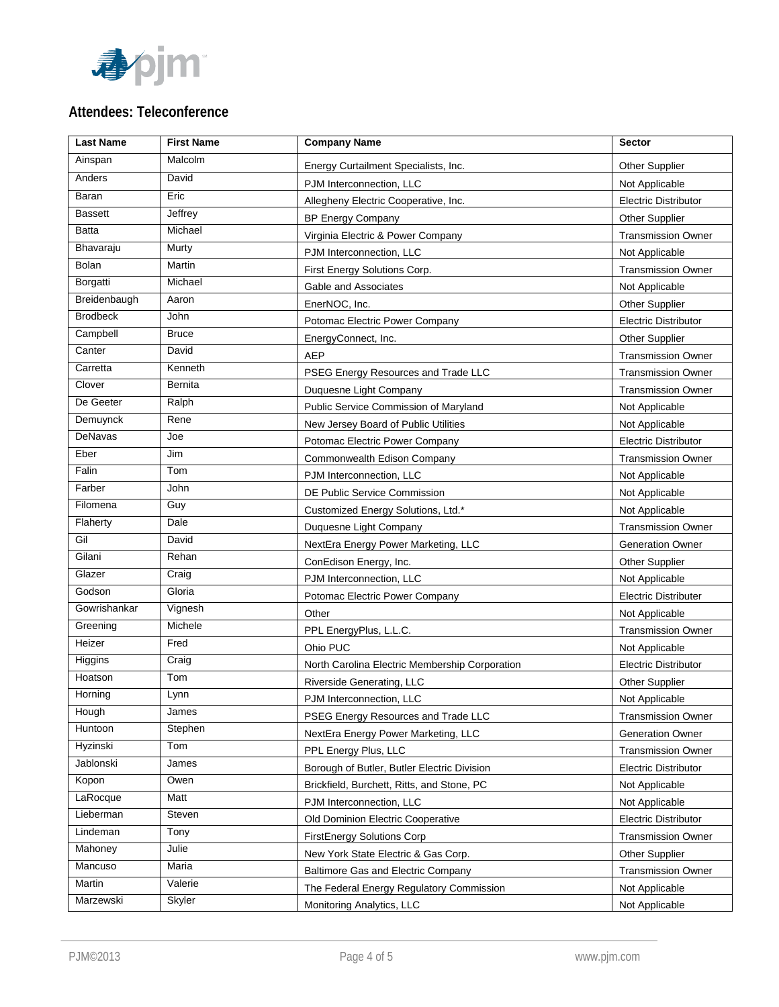

# **Attendees: Teleconference**

| <b>Last Name</b> | <b>First Name</b> | <b>Company Name</b>                            | <b>Sector</b>               |
|------------------|-------------------|------------------------------------------------|-----------------------------|
| Ainspan          | Malcolm           | Energy Curtailment Specialists, Inc.           | <b>Other Supplier</b>       |
| Anders           | David             | PJM Interconnection, LLC                       | Not Applicable              |
| Baran            | Eric              | Allegheny Electric Cooperative, Inc.           | <b>Electric Distributor</b> |
| <b>Bassett</b>   | Jeffrey           | <b>BP Energy Company</b>                       | <b>Other Supplier</b>       |
| <b>Batta</b>     | Michael           | Virginia Electric & Power Company              | <b>Transmission Owner</b>   |
| Bhavaraju        | Murty             | PJM Interconnection, LLC                       | Not Applicable              |
| Bolan            | Martin            | First Energy Solutions Corp.                   | <b>Transmission Owner</b>   |
| Borgatti         | Michael           | Gable and Associates                           | Not Applicable              |
| Breidenbaugh     | Aaron             | EnerNOC, Inc.                                  | <b>Other Supplier</b>       |
| <b>Brodbeck</b>  | John              | Potomac Electric Power Company                 | <b>Electric Distributor</b> |
| Campbell         | <b>Bruce</b>      | EnergyConnect, Inc.                            | <b>Other Supplier</b>       |
| Canter           | David             | <b>AEP</b>                                     | <b>Transmission Owner</b>   |
| Carretta         | Kenneth           | PSEG Energy Resources and Trade LLC            | <b>Transmission Owner</b>   |
| Clover           | Bernita           | Duquesne Light Company                         | <b>Transmission Owner</b>   |
| De Geeter        | Ralph             | Public Service Commission of Maryland          | Not Applicable              |
| Demuynck         | Rene              | New Jersey Board of Public Utilities           | Not Applicable              |
| DeNavas          | Joe               | Potomac Electric Power Company                 | <b>Electric Distributor</b> |
| Eber             | Jim               | Commonwealth Edison Company                    | <b>Transmission Owner</b>   |
| Falin            | Tom               | PJM Interconnection, LLC                       | Not Applicable              |
| Farber           | John              | DE Public Service Commission                   | Not Applicable              |
| Filomena         | Guy               | Customized Energy Solutions, Ltd.*             | Not Applicable              |
| Flaherty         | Dale              | Duquesne Light Company                         | <b>Transmission Owner</b>   |
| Gil              | David             | NextEra Energy Power Marketing, LLC            | <b>Generation Owner</b>     |
| Gilani           | Rehan             | ConEdison Energy, Inc.                         | <b>Other Supplier</b>       |
| Glazer           | Craig             | PJM Interconnection, LLC                       | Not Applicable              |
| Godson           | Gloria            | Potomac Electric Power Company                 | <b>Electric Distributer</b> |
| Gowrishankar     | Vignesh           | Other                                          | Not Applicable              |
| Greening         | Michele           | PPL EnergyPlus, L.L.C.                         | <b>Transmission Owner</b>   |
| Heizer           | Fred              | Ohio PUC                                       | Not Applicable              |
| Higgins          | Craig             | North Carolina Electric Membership Corporation | <b>Electric Distributor</b> |
| Hoatson          | Tom               | Riverside Generating, LLC                      | <b>Other Supplier</b>       |
| Horning          | Lynn              | PJM Interconnection, LLC                       | Not Applicable              |
| Hough            | James             | PSEG Energy Resources and Trade LLC            | <b>Transmission Owner</b>   |
| Huntoon          | Stephen           | NextEra Energy Power Marketing, LLC            | <b>Generation Owner</b>     |
| Hyzinski         | Tom               | PPL Energy Plus, LLC                           | <b>Transmission Owner</b>   |
| Jablonski        | James             | Borough of Butler, Butler Electric Division    | <b>Electric Distributor</b> |
| Kopon            | Owen              | Brickfield, Burchett, Ritts, and Stone, PC     | Not Applicable              |
| LaRocque         | Matt              | PJM Interconnection, LLC                       | Not Applicable              |
| Lieberman        | Steven            | Old Dominion Electric Cooperative              | <b>Electric Distributor</b> |
| Lindeman         | Tony              | <b>FirstEnergy Solutions Corp</b>              | <b>Transmission Owner</b>   |
| Mahoney          | Julie             | New York State Electric & Gas Corp.            | <b>Other Supplier</b>       |
| Mancuso          | Maria             | <b>Baltimore Gas and Electric Company</b>      | <b>Transmission Owner</b>   |
| Martin           | Valerie           | The Federal Energy Regulatory Commission       | Not Applicable              |
| Marzewski        | Skyler            | Monitoring Analytics, LLC                      | Not Applicable              |